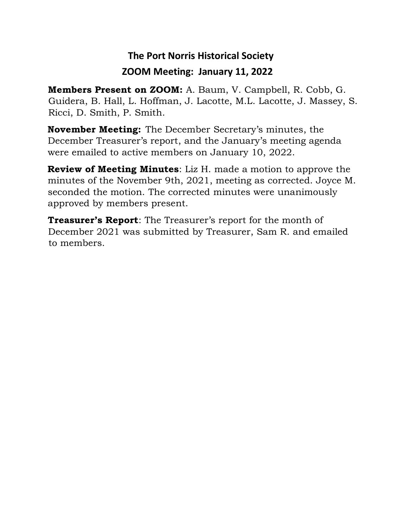## **The Port Norris Historical Society ZOOM Meeting: January 11, 2022**

**Members Present on ZOOM:** A. Baum, V. Campbell, R. Cobb, G. Guidera, B. Hall, L. Hoffman, J. Lacotte, M.L. Lacotte, J. Massey, S. Ricci, D. Smith, P. Smith.

**November Meeting:** The December Secretary's minutes, the December Treasurer's report, and the January's meeting agenda were emailed to active members on January 10, 2022.

**Review of Meeting Minutes**: Liz H. made a motion to approve the minutes of the November 9th, 2021, meeting as corrected. Joyce M. seconded the motion. The corrected minutes were unanimously approved by members present.

**Treasurer's Report**: The Treasurer's report for the month of December 2021 was submitted by Treasurer, Sam R. and emailed to members.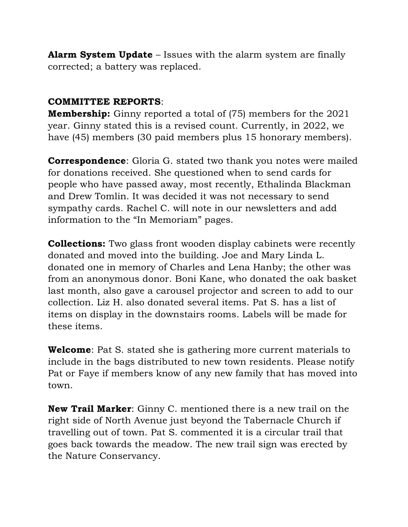**Alarm System Update** – Issues with the alarm system are finally corrected; a battery was replaced.

## **COMMITTEE REPORTS**:

**Membership:** Ginny reported a total of (75) members for the 2021 year. Ginny stated this is a revised count. Currently, in 2022, we have (45) members (30 paid members plus 15 honorary members).

**Correspondence**: Gloria G. stated two thank you notes were mailed for donations received. She questioned when to send cards for people who have passed away, most recently, Ethalinda Blackman and Drew Tomlin. It was decided it was not necessary to send sympathy cards. Rachel C. will note in our newsletters and add information to the "In Memoriam" pages.

**Collections:** Two glass front wooden display cabinets were recently donated and moved into the building. Joe and Mary Linda L. donated one in memory of Charles and Lena Hanby; the other was from an anonymous donor. Boni Kane, who donated the oak basket last month, also gave a carousel projector and screen to add to our collection. Liz H. also donated several items. Pat S. has a list of items on display in the downstairs rooms. Labels will be made for these items.

**Welcome**: Pat S. stated she is gathering more current materials to include in the bags distributed to new town residents. Please notify Pat or Faye if members know of any new family that has moved into town.

**New Trail Marker**: Ginny C. mentioned there is a new trail on the right side of North Avenue just beyond the Tabernacle Church if travelling out of town. Pat S. commented it is a circular trail that goes back towards the meadow. The new trail sign was erected by the Nature Conservancy.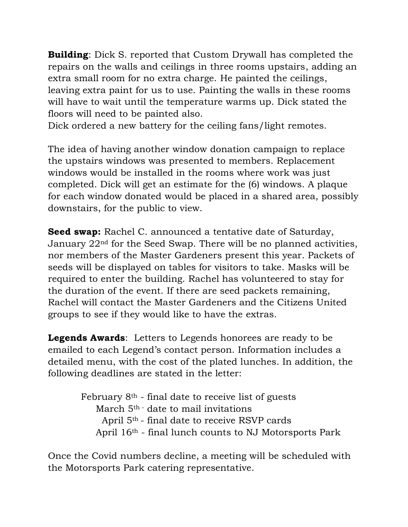**Building**: Dick S. reported that Custom Drywall has completed the repairs on the walls and ceilings in three rooms upstairs, adding an extra small room for no extra charge. He painted the ceilings, leaving extra paint for us to use. Painting the walls in these rooms will have to wait until the temperature warms up. Dick stated the floors will need to be painted also.

Dick ordered a new battery for the ceiling fans/light remotes.

The idea of having another window donation campaign to replace the upstairs windows was presented to members. Replacement windows would be installed in the rooms where work was just completed. Dick will get an estimate for the (6) windows. A plaque for each window donated would be placed in a shared area, possibly downstairs, for the public to view.

**Seed swap:** Rachel C. announced a tentative date of Saturday, January 22nd for the Seed Swap. There will be no planned activities, nor members of the Master Gardeners present this year. Packets of seeds will be displayed on tables for visitors to take. Masks will be required to enter the building. Rachel has volunteered to stay for the duration of the event. If there are seed packets remaining, Rachel will contact the Master Gardeners and the Citizens United groups to see if they would like to have the extras.

**Legends Awards**: Letters to Legends honorees are ready to be emailed to each Legend's contact person. Information includes a detailed menu, with the cost of the plated lunches. In addition, the following deadlines are stated in the letter:

> February  $8<sup>th</sup>$  - final date to receive list of guests March 5<sup>th -</sup> date to mail invitations April 5th - final date to receive RSVP cards April 16th - final lunch counts to NJ Motorsports Park

Once the Covid numbers decline, a meeting will be scheduled with the Motorsports Park catering representative.